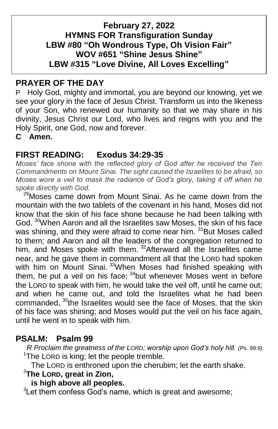### **February 27, 2022 HYMNS FOR Transfiguration Sunday LBW #80 "Oh Wondrous Type, Oh Vision Fair" WOV #651 "Shine Jesus Shine" LBW #315 "Love Divine, All Loves Excelling"**

### **PRAYER OF THE DAY**

P Holy God, mighty and immortal, you are beyond our knowing, yet we see your glory in the face of Jesus Christ. Transform us into the likeness of your Son, who renewed our humanity so that we may share in his divinity, Jesus Christ our Lord, who lives and reigns with you and the Holy Spirit, one God, now and forever.

**C Amen.**

### **FIRST READING: Exodus 34:29-35**

*Moses' face shone with the reflected glory of God after he received the Ten Commandments on Mount Sinai. The sight caused the Israelites to be afraid, so Moses wore a veil to mask the radiance of God's glory, taking it off when he spoke directly with God.*

<sup>29</sup>Moses came down from Mount Sinai. As he came down from the mountain with the two tablets of the covenant in his hand, Moses did not know that the skin of his face shone because he had been talking with God. <sup>30</sup>When Aaron and all the Israelites saw Moses, the skin of his face was shining, and they were afraid to come near him. <sup>31</sup>But Moses called to them; and Aaron and all the leaders of the congregation returned to him, and Moses spoke with them. <sup>32</sup>Afterward all the Israelites came near, and he gave them in commandment all that the LORD had spoken with him on Mount Sinai. <sup>33</sup>When Moses had finished speaking with them, he put a veil on his face;  $34$  but whenever Moses went in before the LORD to speak with him, he would take the veil off, until he came out; and when he came out, and told the Israelites what he had been commanded, <sup>35</sup>the Israelites would see the face of Moses, that the skin of his face was shining; and Moses would put the veil on his face again, until he went in to speak with him.

### **PSALM: Psalm 99**

 *R Proclaim the greatness of the LORD; worship upon God's holy hill. (Ps. 99:9)*  $1$ The LORD is king; let the people tremble.

The LORD is enthroned upon the cherubim; let the earth shake.

<sup>2</sup>**The LORD, great in Zion,**

### **is high above all peoples.**

 ${}^{3}$ Let them confess God's name, which is great and awesome;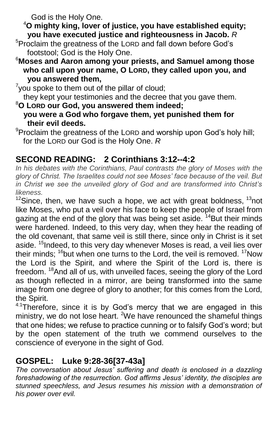God is the Holy One.

<sup>4</sup>**O mighty king, lover of justice, you have established equity; you have executed justice and righteousness in Jacob.** *R*

- <sup>5</sup>Proclaim the greatness of the LORD and fall down before God's footstool; God is the Holy One.
- <sup>6</sup>**Moses and Aaron among your priests, and Samuel among those who call upon your name, O LORD, they called upon you, and you answered them,**

 $7$ you spoke to them out of the pillar of cloud; they kept your testimonies and the decree that you gave them.

- <sup>8</sup>**O LORD our God, you answered them indeed; you were a God who forgave them, yet punished them for their evil deeds.**
- <sup>9</sup>Proclaim the greatness of the LORD and worship upon God's holy hill; for the LORD our God is the Holy One. *R*

## **SECOND READING: 2 Corinthians 3:12--4:2**

In his debates with the Corinthians, Paul contrasts the glory of Moses with the *glory of Christ. The Israelites could not see Moses' face because of the veil. But in Christ we see the unveiled glory of God and are transformed into Christ's likeness.*

 $12$ Since, then, we have such a hope, we act with great boldness,  $13$ not like Moses, who put a veil over his face to keep the people of Israel from gazing at the end of the glory that was being set aside. <sup>14</sup>But their minds were hardened. Indeed, to this very day, when they hear the reading of the old covenant, that same veil is still there, since only in Christ is it set aside. <sup>15</sup>Indeed, to this very day whenever Moses is read, a veil lies over their minds;  $16$  but when one turns to the Lord, the veil is removed.  $17$ Now the Lord is the Spirit, and where the Spirit of the Lord is, there is freedom. <sup>18</sup>And all of us, with unveiled faces, seeing the glory of the Lord as though reflected in a mirror, are being transformed into the same image from one degree of glory to another; for this comes from the Lord, the Spirit.

 $4.1$ Therefore, since it is by God's mercy that we are engaged in this ministry, we do not lose heart. <sup>2</sup>We have renounced the shameful things that one hides; we refuse to practice cunning or to falsify God's word; but by the open statement of the truth we commend ourselves to the conscience of everyone in the sight of God.

### **GOSPEL: Luke 9:28-36[37-43a]**

*The conversation about Jesus' suffering and death is enclosed in a dazzling foreshadowing of the resurrection. God affirms Jesus' identity, the disciples are stunned speechless, and Jesus resumes his mission with a demonstration of his power over evil.*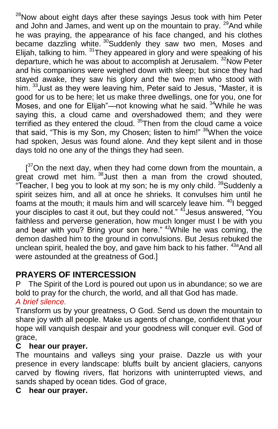$28$ Now about eight days after these sayings Jesus took with him Peter and John and James, and went up on the mountain to pray. <sup>29</sup>And while he was praying, the appearance of his face changed, and his clothes became dazzling white. <sup>30</sup>Suddenly they saw two men, Moses and Elijah, talking to him. <sup>31</sup>They appeared in glory and were speaking of his departure, which he was about to accomplish at Jerusalem.<sup>32</sup>Now Peter and his companions were weighed down with sleep; but since they had stayed awake, they saw his glory and the two men who stood with him. <sup>33</sup> Just as they were leaving him, Peter said to Jesus, "Master, it is good for us to be here; let us make three dwellings, one for you, one for Moses, and one for Elijah"—not knowing what he said. <sup>34</sup>While he was saying this, a cloud came and overshadowed them; and they were terrified as they entered the cloud.  $35$ Then from the cloud came a voice that said, "This is my Son, my Chosen; listen to him!" <sup>36</sup>When the voice had spoken, Jesus was found alone. And they kept silent and in those days told no one any of the things they had seen.

 $[37$ On the next day, when they had come down from the mountain, a great crowd met him. <sup>38</sup> Just then a man from the crowd shouted, "Teacher, I beg you to look at my son; he is my only child. <sup>39</sup>Suddenly a spirit seizes him, and all at once he shrieks. It convulses him until he foams at the mouth; it mauls him and will scarcely leave him. <sup>40</sup>I begged your disciples to cast it out, but they could not." <sup>41</sup> Jesus answered, "You faithless and perverse generation, how much longer must I be with you and bear with you? Bring your son here." <sup>42</sup>While he was coming, the demon dashed him to the ground in convulsions. But Jesus rebuked the unclean spirit, healed the boy, and gave him back to his father.  $43a$ And all were astounded at the greatness of God.]

# **PRAYERS OF INTERCESSION**

P The Spirit of the Lord is poured out upon us in abundance; so we are bold to pray for the church, the world, and all that God has made. *A brief silence.*

Transform us by your greatness, O God. Send us down the mountain to share joy with all people. Make us agents of change, confident that your hope will vanquish despair and your goodness will conquer evil. God of grace,

### **C hear our prayer.**

The mountains and valleys sing your praise. Dazzle us with your presence in every landscape: bluffs built by ancient glaciers, canyons carved by flowing rivers, flat horizons with uninterrupted views, and sands shaped by ocean tides. God of grace,

#### **C hear our prayer.**